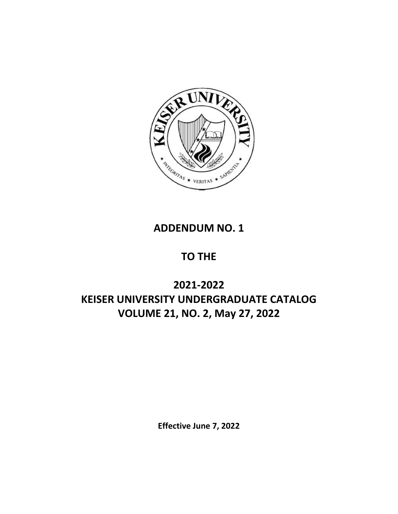

# **ADDENDUM NO. 1**

# **TO THE**

# **2021-2022 KEISER UNIVERSITY UNDERGRADUATE CATALOG VOLUME 21, NO. 2, May 27, 2022**

**Effective June 7, 2022**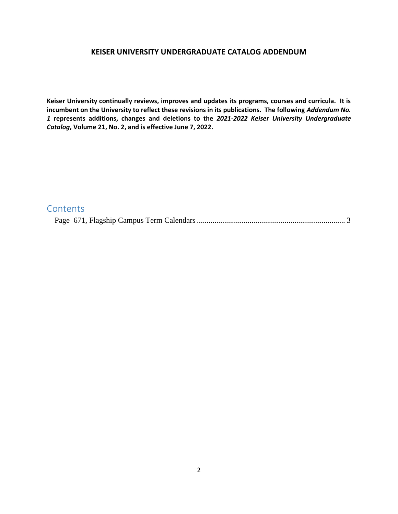#### **KEISER UNIVERSITY UNDERGRADUATE CATALOG ADDENDUM**

**Keiser University continually reviews, improves and updates its programs, courses and curricula. It is incumbent on the University to reflect these revisions in its publications. The following** *Addendum No. 1* **represents additions, changes and deletions to the** *2021-2022 Keiser University Undergraduate Catalog***, Volume 21, No. 2, and is effective June 7, 2022.** 

## **Contents** [Page 671, Flagship Campus Term Calendars............................................................................](#page-2-0) 3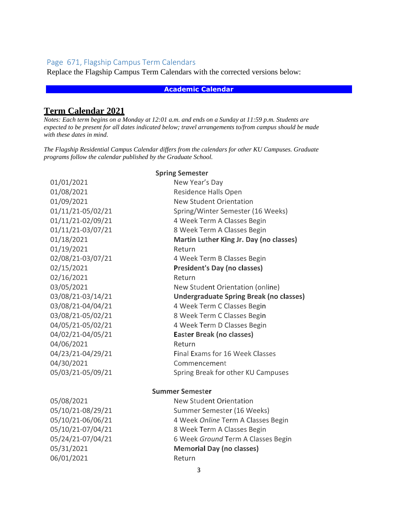### <span id="page-2-0"></span>Page 671, Flagship Campus Term Calendars

Replace the Flagship Campus Term Calendars with the corrected versions below:

#### **Academic Calendar**

### **Term Calendar 2021**

*Notes: Each term begins on a Monday at 12:01 a.m. and ends on a Sunday at 11:59 p.m. Students are expected to be present for all dates indicated below; travel arrangements to/from campus should be made with these dates in mind.*

*The Flagship Residential Campus Calendar differs from the calendars for other KU Campuses. Graduate programs follow the calendar published by the Graduate School.*

| <b>Spring Semester</b> |                                                |  |
|------------------------|------------------------------------------------|--|
| 01/01/2021             | New Year's Day                                 |  |
| 01/08/2021             | <b>Residence Halls Open</b>                    |  |
| 01/09/2021             | <b>New Student Orientation</b>                 |  |
| 01/11/21-05/02/21      | Spring/Winter Semester (16 Weeks)              |  |
| 01/11/21-02/09/21      | 4 Week Term A Classes Begin                    |  |
| 01/11/21-03/07/21      | 8 Week Term A Classes Begin                    |  |
| 01/18/2021             | Martin Luther King Jr. Day (no classes)        |  |
| 01/19/2021             | Return                                         |  |
| 02/08/21-03/07/21      | 4 Week Term B Classes Begin                    |  |
| 02/15/2021             | <b>President's Day (no classes)</b>            |  |
| 02/16/2021             | Return                                         |  |
| 03/05/2021             | New Student Orientation (online)               |  |
| 03/08/21-03/14/21      | <b>Undergraduate Spring Break (no classes)</b> |  |
| 03/08/21-04/04/21      | 4 Week Term C Classes Begin                    |  |
| 03/08/21-05/02/21      | 8 Week Term C Classes Begin                    |  |
| 04/05/21-05/02/21      | 4 Week Term D Classes Begin                    |  |
| 04/02/21-04/05/21      | <b>Easter Break (no classes)</b>               |  |
| 04/06/2021             | Return                                         |  |
| 04/23/21-04/29/21      | Final Exams for 16 Week Classes                |  |
| 04/30/2021             | Commencement                                   |  |
| 05/03/21-05/09/21      | Spring Break for other KU Campuses             |  |
| <b>Summer Semester</b> |                                                |  |
| 05/08/2021             | New Student Orientation                        |  |
| 05/10/21-08/29/21      | Summer Semester (16 Weeks)                     |  |
| 05/10/21-06/06/21      | 4 Week Online Term A Classes Begin             |  |
| 05/10/21-07/04/21      | 8 Week Term A Classes Begin                    |  |
| 05/24/21-07/04/21      | 6 Week Ground Term A Classes Begin             |  |
| 05/31/2021             | <b>Memorial Day (no classes)</b>               |  |
| 06/01/2021             | Return                                         |  |
|                        |                                                |  |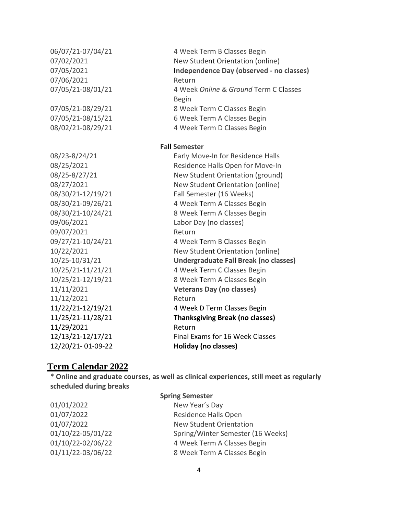07/06/2021 Return 09/06/2021 Labor Day (no classes) 09/07/2021 Return 11/12/2021 Return 11/29/2021 Return 12/20/21- 01-09-22 **Holiday (no classes)**

06/07/21-07/04/21 4 Week Term B Classes Begin 07/02/2021 New Student Orientation (online) 07/05/2021 **Independence Day (observed - no classes)** 07/05/21-08/01/21 4 Week *Online* & *Ground* Term C Classes Begin 07/05/21-08/29/21 8 Week Term C Classes Begin 07/05/21-08/15/21 6 Week Term A Classes Begin 08/02/21-08/29/21 4 Week Term D Classes Begin **Fall Semester** 08/23-8/24/21 Early Move-In for Residence Halls

08/25/2021 Residence Halls Open for Move-In 08/25-8/27/21 New Student Orientation (ground) 08/27/2021 New Student Orientation (online) 08/30/21-12/19/21 Fall Semester (16 Weeks) 08/30/21-09/26/21 4 Week Term A Classes Begin 08/30/21-10/24/21 8 Week Term A Classes Begin 09/27/21-10/24/21 4 Week Term B Classes Begin 10/22/2021 New Student Orientation (online) 10/25-10/31/21 **Undergraduate Fall Break (no classes)** 10/25/21-11/21/21 4 Week Term C Classes Begin 10/25/21-12/19/21 8 Week Term A Classes Begin 11/11/2021 **Veterans Day (no classes)** 11/22/21-12/19/21 4 Week D Term Classes Begin 11/25/21-11/28/21 **Thanksgiving Break (no classes)** 12/13/21-12/17/21 Final Exams for 16 Week Classes

#### **Term Calendar 2022**

**\* Online and graduate courses, as well as clinical experiences, still meet as regularly scheduled during breaks**

01/01/2022 New Year's Day

#### **Spring Semester**

01/07/2022 Residence Halls Open 01/07/2022 New Student Orientation 01/10/22-05/01/22 Spring/Winter Semester (16 Weeks) 01/10/22-02/06/22 4 Week Term A Classes Begin 01/11/22-03/06/22 8 Week Term A Classes Begin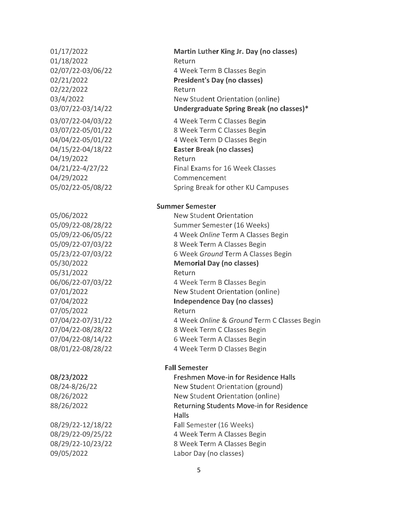01/18/2022 Return 02/22/2022 Return 04/19/2022 Return 04/29/2022 Commencement 05/31/2022 Return 07/05/2022 Return

01/17/2022 **Martin Luther King Jr. Day (no classes)** 02/07/22-03/06/22 4 Week Term B Classes Begin 02/21/2022 **President's Day (no classes)** 03/4/2022 New Student Orientation (online) 03/07/22-03/14/22 **Undergraduate Spring Break (no classes)\***

03/07/22-04/03/22 4 Week Term C Classes Begin 03/07/22-05/01/22 8 Week Term C Classes Begin 04/04/22-05/01/22 4 Week Term D Classes Begin 04/15/22-04/18/22 **Easter Break (no classes)** 04/21/22-4/27/22 Final Exams for 16 Week Classes 05/02/22-05/08/22 Spring Break for other KU Campuses

#### **Summer Semester**

05/06/2022 New Student Orientation 05/09/22-08/28/22 Summer Semester (16 Weeks) 05/09/22-06/05/22 4 Week *Online* Term A Classes Begin 05/09/22-07/03/22 8 Week Term A Classes Begin 05/23/22-07/03/22 6 Week *Ground* Term A Classes Begin 05/30/2022 **Memorial Day (no classes)** 06/06/22-07/03/22 4 Week Term B Classes Begin 07/01/2022 New Student Orientation (online) 07/04/2022 **Independence Day (no classes)** 07/04/22-07/31/22 4 Week *Online* & *Ground* Term C Classes Begin 07/04/22-08/28/22 8 Week Term C Classes Begin 07/04/22-08/14/22 6 Week Term A Classes Begin 08/01/22-08/28/22 4 Week Term D Classes Begin

#### **Fall Semester**

08/23/2022 Freshmen Move-in for Residence Halls 08/24-8/26/22 New Student Orientation (ground) 08/26/2022 New Student Orientation (online) 88/26/2022 Returning Students Move-in for Residence Halls 08/29/22-12/18/22 Fall Semester (16 Weeks) 08/29/22-09/25/22 4 Week Term A Classes Begin 08/29/22-10/23/22 8 Week Term A Classes Begin 09/05/2022 Labor Day (no classes)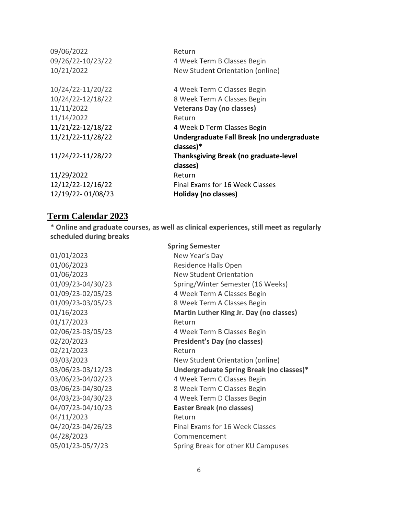| 09/06/2022<br>09/26/22-10/23/22<br>10/21/2022 | Return<br>4 Week Term B Classes Begin<br>New Student Orientation (online) |
|-----------------------------------------------|---------------------------------------------------------------------------|
| 10/24/22-11/20/22                             | 4 Week Term C Classes Begin                                               |
| 10/24/22-12/18/22                             | 8 Week Term A Classes Begin                                               |
| 11/11/2022                                    | <b>Veterans Day (no classes)</b>                                          |
| 11/14/2022                                    | Return                                                                    |
| 11/21/22-12/18/22                             | 4 Week D Term Classes Begin                                               |
| 11/21/22-11/28/22                             | Undergraduate Fall Break (no undergraduate                                |
|                                               | classes)*                                                                 |
| 11/24/22-11/28/22                             | <b>Thanksgiving Break (no graduate-level</b>                              |
|                                               | classes)                                                                  |
| 11/29/2022                                    | Return                                                                    |
| 12/12/22-12/16/22                             | Final Exams for 16 Week Classes                                           |
| 12/19/22-01/08/23                             | Holiday (no classes)                                                      |
|                                               |                                                                           |

#### **Term Calendar 2023**

**\* Online and graduate courses, as well as clinical experiences, still meet as regularly scheduled during breaks**

01/01/2023 New Year's Day 01/17/2023 Return 02/21/2023 Return 04/11/2023 Return 04/28/2023 Commencement

**Spring Semester** 01/06/2023 Residence Halls Open 01/06/2023 New Student Orientation 01/09/23-04/30/23 Spring/Winter Semester (16 Weeks) 01/09/23-02/05/23 4 Week Term A Classes Begin 01/09/23-03/05/23 8 Week Term A Classes Begin 01/16/2023 **Martin Luther King Jr. Day (no classes)** 02/06/23-03/05/23 4 Week Term B Classes Begin 02/20/2023 **President's Day (no classes)** 03/03/2023 New Student Orientation (online) 03/06/23-03/12/23 **Undergraduate Spring Break (no classes)\*** 03/06/23-04/02/23 4 Week Term C Classes Begin 03/06/23-04/30/23 8 Week Term C Classes Begin 04/03/23-04/30/23 4 Week Term D Classes Begin 04/07/23-04/10/23 **Easter Break (no classes)** 04/20/23-04/26/23 Final Exams for 16 Week Classes 05/01/23-05/7/23 Spring Break for other KU Campuses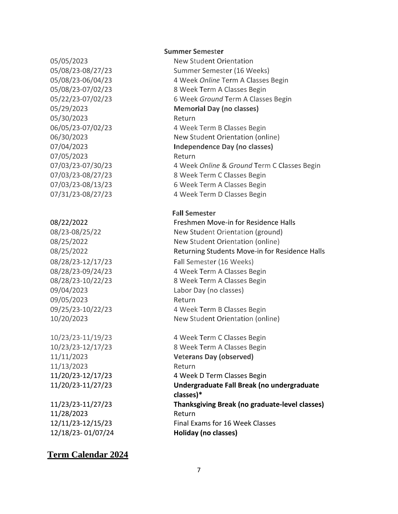05/30/2023 Return 07/05/2023 Return

09/05/2023 Return

11/13/2023 Return

11/28/2023 Return 12/18/23- 01/07/24 **Holiday (no classes)**

### **Term Calendar 2024**

#### **Summer Semester**

05/05/2023 New Student Orientation 05/08/23-08/27/23 Summer Semester (16 Weeks) 05/08/23-06/04/23 4 Week *Online* Term A Classes Begin 05/08/23-07/02/23 8 Week Term A Classes Begin 05/22/23-07/02/23 6 Week *Ground* Term A Classes Begin 05/29/2023 **Memorial Day (no classes)** 06/05/23-07/02/23 4 Week Term B Classes Begin 06/30/2023 New Student Orientation (online) 07/04/2023 **Independence Day (no classes)** 07/03/23-07/30/23 4 Week *Online* & *Ground* Term C Classes Begin 07/03/23-08/27/23 8 Week Term C Classes Begin 07/03/23-08/13/23 6 Week Term A Classes Begin 07/31/23-08/27/23 4 Week Term D Classes Begin

#### **Fall Semester**

08/22/2022 Freshmen Move-in for Residence Halls 08/23-08/25/22 New Student Orientation (ground) 08/25/2022 New Student Orientation (online) 08/25/2022 Returning Students Move-in for Residence Halls 08/28/23-12/17/23 Fall Semester (16 Weeks) 08/28/23-09/24/23 4 Week Term A Classes Begin 08/28/23-10/22/23 8 Week Term A Classes Begin 09/04/2023 Labor Day (no classes) 09/25/23-10/22/23 4 Week Term B Classes Begin 10/20/2023 New Student Orientation (online)

10/23/23-11/19/23 4 Week Term C Classes Begin 10/23/23-12/17/23 8 Week Term A Classes Begin 11/11/2023 **Veterans Day (observed)** 11/20/23-12/17/23 4 Week D Term Classes Begin 11/20/23-11/27/23 **Undergraduate Fall Break (no undergraduate classes)\*** 11/23/23-11/27/23 **Thanksgiving Break (no graduate-level classes)** 12/11/23-12/15/23 Final Exams for 16 Week Classes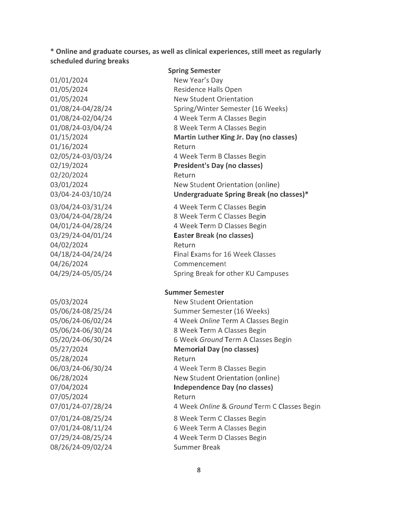**\* Online and graduate courses, as well as clinical experiences, still meet as regularly scheduled during breaks**

01/01/2024 New Year's Day 01/16/2024 Return 02/20/2024 Return 03/04/24-03/31/24 4 Week Term C Classes Begin 04/02/2024 Return 04/26/2024 Commencement 05/28/2024 Return 07/05/2024 Return

**Spring Semester** 01/05/2024 Residence Halls Open 01/05/2024 New Student Orientation 01/08/24-04/28/24 Spring/Winter Semester (16 Weeks) 01/08/24-02/04/24 4 Week Term A Classes Begin 01/08/24-03/04/24 8 Week Term A Classes Begin 01/15/2024 **Martin Luther King Jr. Day (no classes)** 02/05/24-03/03/24 4 Week Term B Classes Begin 02/19/2024 **President's Day (no classes)** 03/01/2024 New Student Orientation (online) 03/04-24-03/10/24 **Undergraduate Spring Break (no classes)\***

03/04/24-04/28/24 8 Week Term C Classes Begin 04/01/24-04/28/24 4 Week Term D Classes Begin 03/29/24-04/01/24 **Easter Break (no classes)** 04/18/24-04/24/24 Final Exams for 16 Week Classes 04/29/24-05/05/24 Spring Break for other KU Campuses

#### **Summer Semester**

05/03/2024 New Student Orientation 05/06/24-08/25/24 Summer Semester (16 Weeks) 05/06/24-06/02/24 4 Week *Online* Term A Classes Begin 05/06/24-06/30/24 8 Week Term A Classes Begin 05/20/24-06/30/24 6 Week *Ground* Term A Classes Begin 05/27/2024 **Memorial Day (no classes)** 06/03/24-06/30/24 4 Week Term B Classes Begin 06/28/2024 New Student Orientation (online) 07/04/2024 **Independence Day (no classes)** 07/01/24-07/28/24 4 Week *Online* & *Ground* Term C Classes Begin 07/01/24-08/25/24 8 Week Term C Classes Begin 07/01/24-08/11/24 6 Week Term A Classes Begin 07/29/24-08/25/24 4 Week Term D Classes Begin 08/26/24-09/02/24 Summer Break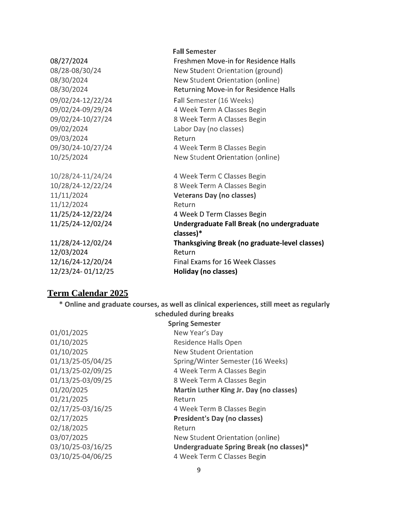|                   | <b>Fall Semester</b>                                    |
|-------------------|---------------------------------------------------------|
| 08/27/2024        | Freshmen Move-in for Residence Halls                    |
| 08/28-08/30/24    | New Student Orientation (ground)                        |
| 08/30/2024        | New Student Orientation (online)                        |
| 08/30/2024        | Returning Move-in for Residence Halls                   |
| 09/02/24-12/22/24 | Fall Semester (16 Weeks)                                |
| 09/02/24-09/29/24 | 4 Week Term A Classes Begin                             |
| 09/02/24-10/27/24 | 8 Week Term A Classes Begin                             |
| 09/02/2024        | Labor Day (no classes)                                  |
| 09/03/2024        | Return                                                  |
| 09/30/24-10/27/24 | 4 Week Term B Classes Begin                             |
| 10/25/2024        | New Student Orientation (online)                        |
| 10/28/24-11/24/24 | 4 Week Term C Classes Begin                             |
| 10/28/24-12/22/24 | 8 Week Term A Classes Begin                             |
| 11/11/2024        | <b>Veterans Day (no classes)</b>                        |
| 11/12/2024        | Return                                                  |
| 11/25/24-12/22/24 | 4 Week D Term Classes Begin                             |
| 11/25/24-12/02/24 | Undergraduate Fall Break (no undergraduate<br>classes)* |
| 11/28/24-12/02/24 | <b>Thanksgiving Break (no graduate-level classes)</b>   |
| 12/03/2024        | Return                                                  |
| 12/16/24-12/20/24 | Final Exams for 16 Week Classes                         |
| 12/23/24-01/12/25 | Holiday (no classes)                                    |
|                   |                                                         |

# **Term Calendar 2025**

**\* Online and graduate courses, as well as clinical experiences, still meet as regularly scheduled during breaks**

|                   | <b>Spring Semester</b>                   |
|-------------------|------------------------------------------|
| 01/01/2025        | New Year's Day                           |
| 01/10/2025        | Residence Halls Open                     |
| 01/10/2025        | <b>New Student Orientation</b>           |
| 01/13/25-05/04/25 | Spring/Winter Semester (16 Weeks)        |
| 01/13/25-02/09/25 | 4 Week Term A Classes Begin              |
| 01/13/25-03/09/25 | 8 Week Term A Classes Begin              |
| 01/20/2025        | Martin Luther King Jr. Day (no classes)  |
| 01/21/2025        | Return                                   |
| 02/17/25-03/16/25 | 4 Week Term B Classes Begin              |
| 02/17/2025        | President's Day (no classes)             |
| 02/18/2025        | Return                                   |
| 03/07/2025        | New Student Orientation (online)         |
| 03/10/25-03/16/25 | Undergraduate Spring Break (no classes)* |
| 03/10/25-04/06/25 | 4 Week Term C Classes Begin              |
|                   |                                          |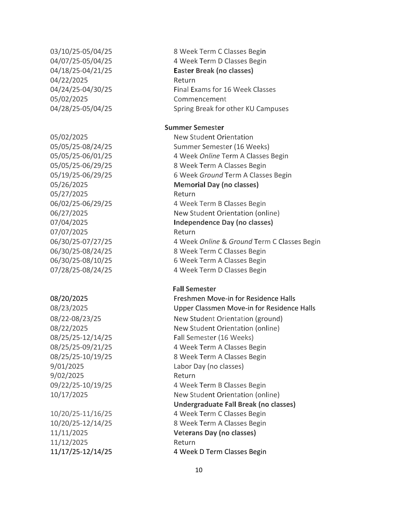04/22/2025 Return 05/02/2025 Commencement 05/27/2025 Return 07/07/2025 Return 9/02/2025 Return

11/12/2025 Return

03/10/25-05/04/25 8 Week Term C Classes Begin 04/07/25-05/04/25 4 Week Term D Classes Begin 04/18/25-04/21/25 **Easter Break (no classes)** 04/24/25-04/30/25 Final Exams for 16 Week Classes 04/28/25-05/04/25 Spring Break for other KU Campuses

#### **Summer Semester**

05/02/2025 New Student Orientation 05/05/25-08/24/25 Summer Semester (16 Weeks) 05/05/25-06/01/25 4 Week *Online* Term A Classes Begin 05/05/25-06/29/25 8 Week Term A Classes Begin 05/19/25-06/29/25 6 Week *Ground* Term A Classes Begin 05/26/2025 **Memorial Day (no classes)** 06/02/25-06/29/25 4 Week Term B Classes Begin 06/27/2025 New Student Orientation (online) 07/04/2025 **Independence Day (no classes)** 06/30/25-07/27/25 4 Week *Online* & *Ground* Term C Classes Begin 06/30/25-08/24/25 8 Week Term C Classes Begin 06/30/25-08/10/25 6 Week Term A Classes Begin 07/28/25-08/24/25 4 Week Term D Classes Begin

**Fall Semester**

08/20/2025 Freshmen Move-in for Residence Halls 08/23/2025 Upper Classmen Move-in for Residence Halls 08/22-08/23/25 New Student Orientation (ground) 08/22/2025 New Student Orientation (online) 08/25/25-12/14/25 Fall Semester (16 Weeks) 08/25/25-09/21/25 4 Week Term A Classes Begin 08/25/25-10/19/25 8 Week Term A Classes Begin 9/01/2025 Labor Day (no classes) 09/22/25-10/19/25 4 Week Term B Classes Begin 10/17/2025 New Student Orientation (online) **Undergraduate Fall Break (no classes)** 10/20/25-11/16/25 4 Week Term C Classes Begin 10/20/25-12/14/25 8 Week Term A Classes Begin 11/11/2025 **Veterans Day (no classes)** 11/17/25-12/14/25 4 Week D Term Classes Begin